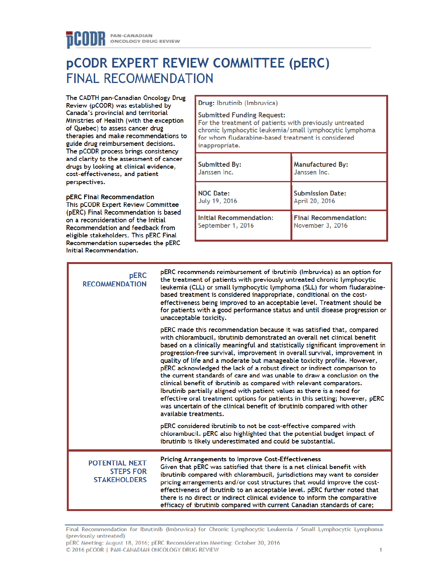# **PCODR EXPERT REVIEW COMMITTEE (PERC) FINAL RECOMMENDATION**

The CADTH pan-Canadian Oncology Drug Review (pCODR) was established by Canada's provincial and territorial Ministries of Health (with the exception of Quebec) to assess cancer drug therapies and make recommendations to guide drug reimbursement decisions. The pCODR process brings consistency and clarity to the assessment of cancer drugs by looking at clinical evidence, cost-effectiveness, and patient perspectives.

pERC Final Recommendation This pCODR Expert Review Committee (pERC) Final Recommendation is based on a reconsideration of the Initial Recommendation and feedback from eligible stakeholders. This pERC Final Recommendation supersedes the pERC Initial Recommendation.

Drug: Ibrutinib (Imbruvica)

#### **Submitted Funding Request:**

For the treatment of patients with previously untreated chronic lymphocytic leukemia/small lymphocytic lymphoma for whom fludarabine-based treatment is considered inappropriate.

| <b>Submitted By:</b>           | <b>Manufactured By:</b>      |
|--------------------------------|------------------------------|
| Janssen Inc.                   | Janssen Inc.                 |
| <b>NOC Date:</b>               | <b>Submission Date:</b>      |
| July 19, 2016                  | April 20, 2016               |
| <b>Initial Recommendation:</b> | <b>Final Recommendation:</b> |
| September 1, 2016              | November 3, 2016             |

| <b>pERC</b><br><b>RECOMMENDATION</b>                             | pERC recommends reimbursement of ibrutinib (Imbruvica) as an option for<br>the treatment of patients with previously untreated chronic lymphocytic<br>leukemia (CLL) or small lymphocytic lymphoma (SLL) for whom fludarabine-<br>based treatment is considered inappropriate, conditional on the cost-<br>effectiveness being improved to an acceptable level. Treatment should be<br>for patients with a good performance status and until disease progression or<br>unacceptable toxicity.                                                                                                                                                                                                                                                                                                                                                                                             |
|------------------------------------------------------------------|-------------------------------------------------------------------------------------------------------------------------------------------------------------------------------------------------------------------------------------------------------------------------------------------------------------------------------------------------------------------------------------------------------------------------------------------------------------------------------------------------------------------------------------------------------------------------------------------------------------------------------------------------------------------------------------------------------------------------------------------------------------------------------------------------------------------------------------------------------------------------------------------|
|                                                                  | pERC made this recommendation because it was satisfied that, compared<br>with chlorambucil, ibrutinib demonstrated an overall net clinical benefit<br>based on a clinically meaningful and statistically significant improvement in<br>progression-free survival, improvement in overall survival, improvement in<br>quality of life and a moderate but manageable toxicity profile. However,<br>pERC acknowledged the lack of a robust direct or indirect comparison to<br>the current standards of care and was unable to draw a conclusion on the<br>clinical benefit of ibrutinib as compared with relevant comparators.<br>Ibrutinib partially aligned with patient values as there is a need for<br>effective oral treatment options for patients in this setting; however, pERC<br>was uncertain of the clinical benefit of ibrutinib compared with other<br>available treatments. |
|                                                                  | pERC considered ibrutinib to not be cost-effective compared with<br>chlorambucil. pERC also highlighted that the potential budget impact of<br>ibrutinib is likely underestimated and could be substantial.                                                                                                                                                                                                                                                                                                                                                                                                                                                                                                                                                                                                                                                                               |
| <b>POTENTIAL NEXT</b><br><b>STEPS FOR</b><br><b>STAKEHOLDERS</b> | <b>Pricing Arrangements to Improve Cost-Effectiveness</b><br>Given that pERC was satisfied that there is a net clinical benefit with<br>ibrutinib compared with chlorambucil, jurisdictions may want to consider<br>pricing arrangements and/or cost structures that would improve the cost-<br>effectiveness of ibrutinib to an acceptable level. pERC further noted that<br>there is no direct or indirect clinical evidence to inform the comparative<br>efficacy of ibrutinib compared with current Canadian standards of care;                                                                                                                                                                                                                                                                                                                                                       |

Final Recommendation for Ibrutinib (Imbruvica) for Chronic Lymphocytic Leukemia / Small Lymphocytic Lymphoma (previously untreated) pERC Meeting: August 18, 2016; pERC Reconsideration Meeting: October 20, 2016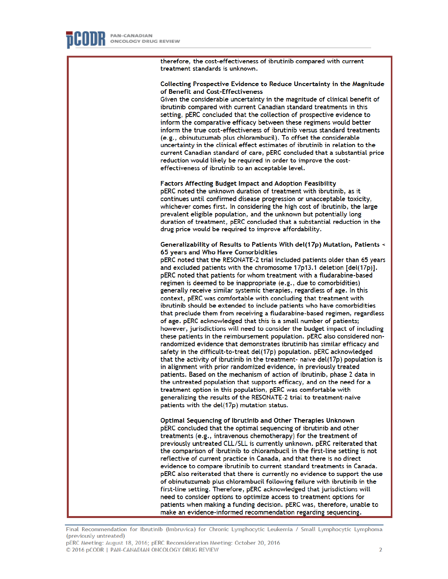therefore, the cost-effectiveness of ibrutinib compared with current treatment standards is unknown.

#### Collecting Prospective Evidence to Reduce Uncertainty in the Magnitude of Benefit and Cost-Effectiveness

Given the considerable uncertainty in the magnitude of clinical benefit of ibrutinib compared with current Canadian standard treatments in this setting, pERC concluded that the collection of prospective evidence to inform the comparative efficacy between these regimens would better inform the true cost-effectiveness of ibrutinib versus standard treatments (e.g., obinutuzumab plus chlorambucil). To offset the considerable uncertainty in the clinical effect estimates of ibrutinib in relation to the current Canadian standard of care, pERC concluded that a substantial price reduction would likely be required in order to improve the costeffectiveness of ibrutinib to an acceptable level.

**Factors Affecting Budget Impact and Adoption Feasibility** pERC noted the unknown duration of treatment with ibrutinib, as it

continues until confirmed disease progression or unacceptable toxicity, whichever comes first. In considering the high cost of ibrutinib, the large prevalent eligible population, and the unknown but potentially long duration of treatment, pERC concluded that a substantial reduction in the drug price would be required to improve affordability.

Generalizability of Results to Patients With del(17p) Mutation, Patients < 65 years and Who Have Comorbidities

pERC noted that the RESONATE-2 trial included patients older than 65 years and excluded patients with the chromosome 17p13.1 deletion [del(17p)]. pERC noted that patients for whom treatment with a fludarabine-based regimen is deemed to be inappropriate (e.g., due to comorbidities) generally receive similar systemic therapies, regardless of age. In this context, pERC was comfortable with concluding that treatment with ibrutinib should be extended to include patients who have comorbidities that preclude them from receiving a fludarabine-based regimen, regardless of age. pERC acknowledged that this is a small number of patients; however, jurisdictions will need to consider the budget impact of including these patients in the reimbursement population. pERC also considered nonrandomized evidence that demonstrates ibrutinib has similar efficacy and safety in the difficult-to-treat del(17p) population. pERC acknowledged that the activity of ibrutinib in the treatment- naive del(17p) population is in alignment with prior randomized evidence, in previously treated patients. Based on the mechanism of action of ibrutinib, phase 2 data in the untreated population that supports efficacy, and on the need for a treatment option in this population, pERC was comfortable with generalizing the results of the RESONATE-2 trial to treatment-naive patients with the del(17p) mutation status.

Optimal Sequencing of Ibrutinib and Other Therapies Unknown pERC concluded that the optimal sequencing of ibrutinib and other treatments (e.g., intravenous chemotherapy) for the treatment of previously untreated CLL/SLL is currently unknown. pERC reiterated that the comparison of ibrutinib to chlorambucil in the first-line setting is not reflective of current practice in Canada, and that there is no direct evidence to compare ibrutinib to current standard treatments in Canada. pERC also reiterated that there is currently no evidence to support the use of obinutuzumab plus chlorambucil following failure with ibrutinib in the first-line setting. Therefore, pERC acknowledged that jurisdictions will need to consider options to optimize access to treatment options for patients when making a funding decision. pERC was, therefore, unable to make an evidence-informed recommendation regarding sequencing.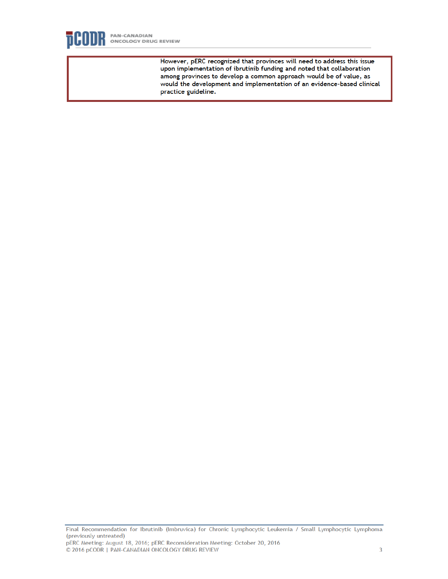

However, pERC recognized that provinces will need to address this issue upon implementation of ibrutinib funding and noted that collaboration among provinces to develop a common approach would be of value, as would the development and implementation of an evidence-based clinical practice guideline.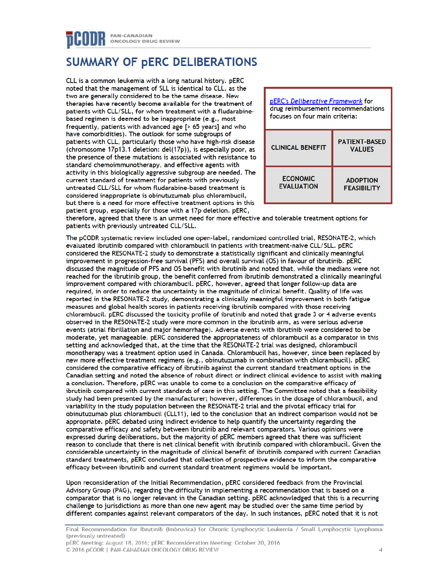## **SUMMARY OF PERC DELIBERATIONS**

CLL is a common leukemia with a long natural history. pERC noted that the management of SLL is identical to CLL, as the two are generally considered to be the same disease. New therapies have recently become available for the treatment of patients with CLL/SLL, for whom treatment with a fludarabinebased regimen is deemed to be inappropriate (e.g., most frequently, patients with advanced age [> 65 years] and who have comorbidities). The outlook for some subgroups of patients with CLL, particularly those who have high-risk disease (chromosome 17p13.1 deletion: del(17p)), is especially poor, as the presence of these mutations is associated with resistance to standard chemoimmunotherapy, and effective agents with activity in this biologically aggressive subgroup are needed. The current standard of treatment for patients with previously untreated CLL/SLL for whom fludarabine-based treatment is considered inappropriate is obinutuzumab plus chlorambucil, but there is a need for more effective treatment options in this patient group, especially for those with a 17p deletion. pERC,



therefore, agreed that there is an unmet need for more effective and tolerable treatment options for patients with previously untreated CLL/SLL.

The pCODR systematic review included one open-label, randomized controlled trial, RESONATE-2, which evaluated ibrutinib compared with chlorambucil in patients with treatment-naive CLL/SLL. pERC considered the RESONATE-2 study to demonstrate a statistically significant and clinically meaningful improvement in progression-free survival (PFS) and overall survival (OS) in favour of ibrutinib. pERC discussed the magnitude of PFS and OS benefit with ibrutinib and noted that, while the medians were not reached for the ibrutinib group, the benefit conferred from ibrutinib demonstrated a clinically meaningful improvement compared with chlorambucil. pERC, however, agreed that longer follow-up data are required, in order to reduce the uncertainty in the magnitude of clinical benefit. Quality of life was reported in the RESONATE-2 study, demonstrating a clinically meaningful improvement in both fatigue measures and global health scores in patients receiving ibrutinib compared with those receiving chlorambucil. pERC discussed the toxicity profile of ibrutinib and noted that grade 3 or 4 adverse events observed in the RESONATE-2 study were more common in the ibrutinib arm, as were serious adverse events (atrial fibrillation and major hemorrhage). Adverse events with ibrutinib were considered to be moderate, yet manageable. pERC considered the appropriateness of chlorambucil as a comparator in this setting and acknowledged that, at the time that the RESONATE-2 trial was designed, chlorambucil monotherapy was a treatment option used in Canada. Chlorambucil has, however, since been replaced by new more effective treatment regimens (e.g., obinutuzumab in combination with chlorambucil). pERC considered the comparative efficacy of ibrutinib against the current standard treatment options in the Canadian setting and noted the absence of robust direct or indirect clinical evidence to assist with making a conclusion. Therefore, pERC was unable to come to a conclusion on the comparative efficacy of ibrutinib compared with current standards of care in this setting. The Committee noted that a feasibility study had been presented by the manufacturer; however, differences in the dosage of chlorambucil, and variability in the study population between the RESONATE-2 trial and the pivotal efficacy trial for obinutuzumab plus chlorambucil (CLL11), led to the conclusion that an indirect comparison would not be appropriate. pERC debated using indirect evidence to help quantify the uncertainty regarding the comparative efficacy and safety between ibrutinib and relevant comparators. Various opinions were expressed during deliberations, but the maiority of pERC members agreed that there was sufficient reason to conclude that there is net clinical benefit with ibrutinib compared with chlorambucil. Given the considerable uncertainty in the magnitude of clinical benefit of ibrutinib compared with current Canadian standard treatments, pERC concluded that collection of prospective evidence to inform the comparative efficacy between ibrutinib and current standard treatment regimens would be important.

Upon reconsideration of the Initial Recommendation, pERC considered feedback from the Provincial Advisory Group (PAG), regarding the difficulty in implementing a recommendation that is based on a comparator that is no longer relevant in the Canadian setting. pERC acknowledged that this is a recurring challenge to jurisdictions as more than one new agent may be studied over the same time period by different companies against relevant comparators of the day. In such instances, pERC noted that it is not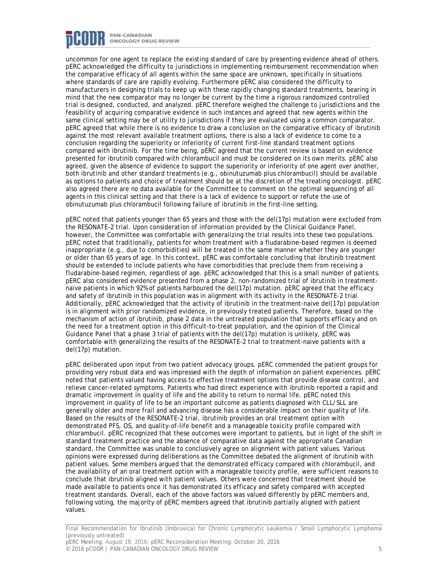

uncommon for one agent to replace the existing standard of care by presenting evidence ahead of others. pERC acknowledged the difficulty to jurisdictions in implementing reimbursement recommendation when the comparative efficacy of all agents within the same space are unknown, specifically in situations where standards of care are rapidly evolving. Furthermore pERC also considered the difficulty to manufacturers in designing trials to keep up with these rapidly changing standard treatments, bearing in mind that the new comparator may no longer be current by the time a rigorous randomized controlled trial is designed, conducted, and analyzed. pERC therefore weighed the challenge to jurisdictions and the feasibility of acquiring comparative evidence in such instances and agreed that new agents within the same clinical setting may be of utility to jurisdictions if they are evaluated using a common comparator. pERC agreed that while there is no evidence to draw a conclusion on the comparative efficacy of ibrutinib against the most relevant available treatment options, there is also a lack of evidence to come to a conclusion regarding the superiority or inferiority of current first-line standard treatment options compared with ibrutinib. For the time being, pERC agreed that the current review is based on evidence presented for ibrutinib compared with chlorambucil and must be considered on its own merits. pERC also agreed, given the absence of evidence to support the superiority or inferiority of one agent over another, both ibrutinib and other standard treatments (e.g., obinutuzumab plus chlorambucil) should be available as options to patients and choice of treatment should be at the discretion of the treating oncologist. pERC also agreed there are no data available for the Committee to comment on the optimal sequencing of all agents in this clinical setting and that there is a lack of evidence to support or refute the use of obinutuzumab plus chlorambucil following failure of ibrutinib in the first-line setting.

pERC noted that patients younger than 65 years and those with the del(17p) mutation were excluded from the RESONATE-2 trial. Upon consideration of information provided by the Clinical Guidance Panel, however, the Committee was comfortable with generalizing the trial results into these two populations. pERC noted that traditionally, patients for whom treatment with a fludarabine-based regimen is deemed inappropriate (e.g., due to comorbidities) will be treated in the same manner whether they are younger or older than 65 years of age. In this context, pERC was comfortable concluding that ibrutinib treatment should be extended to include patients who have comorbidities that preclude them from receiving a fludarabine-based regimen, regardless of age. pERC acknowledged that this is a small number of patients. pERC also considered evidence presented from a phase 2, non-randomized trial of ibrutinib in treatmentnaive patients in which 92% of patients harboured the del(17p) mutation. pERC agreed that the efficacy and safety of ibrutinib in this population was in alignment with its activity in the RESONATE-2 trial. Additionally, pERC acknowledged that the activity of ibrutinib in the treatment-naive del(17p) population is in alignment with prior randomized evidence, in previously treated patients. Therefore, based on the mechanism of action of ibrutinib, phase 2 data in the untreated population that supports efficacy and on the need for a treatment option in this difficult-to-treat population, and the opinion of the Clinical Guidance Panel that a phase 3 trial of patients with the del(17p) mutation is unlikely, pERC was comfortable with generalizing the results of the RESONATE-2 trial to treatment-naive patients with a del(17p) mutation.

pERC deliberated upon input from two patient advocacy groups. pERC commended the patient groups for providing very robust data and was impressed with the depth of information on patient experiences. pERC noted that patients valued having access to effective treatment options that provide disease control, and relieve cancer-related symptoms. Patients who had direct experience with ibrutinib reported a rapid and dramatic improvement in quality of life and the ability to return to normal life. pERC noted this improvement in quality of life to be an important outcome as patients diagnosed with CLL/SLL are generally older and more frail and advancing disease has a considerable impact on their quality of life. Based on the results of the RESONATE-2 trial, ibrutinib provides an oral treatment option with demonstrated PFS, OS, and quality-of-life benefit and a manageable toxicity profile compared with chlorambucil. pERC recognized that these outcomes were important to patients, but in light of the shift in standard treatment practice and the absence of comparative data against the appropriate Canadian standard, the Committee was unable to conclusively agree on alignment with patient values. Various opinions were expressed during deliberations as the Committee debated the alignment of ibrutinib with patient values. Some members argued that the demonstrated efficacy compared with chlorambucil, and the availability of an oral treatment option with a manageable toxicity profile, were sufficient reasons to conclude that ibrutinib aligned with patient values. Others were concerned that treatment should be made available to patients once it has demonstrated its efficacy and safety compared with accepted treatment standards. Overall, each of the above factors was valued differently by pERC members and, following voting, the majority of pERC members agreed that ibrutinib partially aligned with patient values.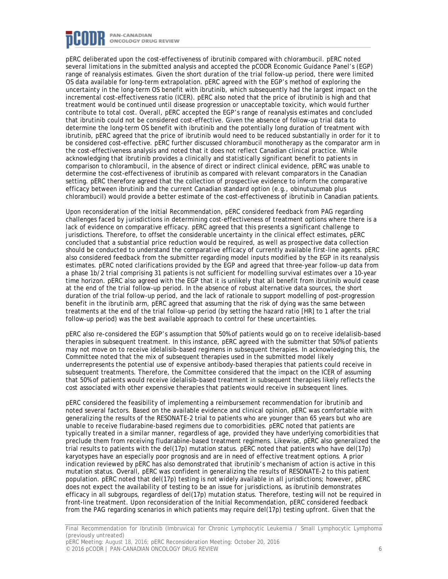

pERC deliberated upon the cost-effectiveness of ibrutinib compared with chlorambucil. pERC noted several limitations in the submitted analysis and accepted the pCODR Economic Guidance Panel's (EGP) range of reanalysis estimates. Given the short duration of the trial follow-up period, there were limited OS data available for long-term extrapolation. pERC agreed with the EGP's method of exploring the uncertainty in the long-term OS benefit with ibrutinib, which subsequently had the largest impact on the incremental cost-effectiveness ratio (ICER). pERC also noted that the price of ibrutinib is high and that treatment would be continued until disease progression or unacceptable toxicity, which would further contribute to total cost. Overall, pERC accepted the EGP's range of reanalysis estimates and concluded that ibrutinib could not be considered cost-effective. Given the absence of follow-up trial data to determine the long-term OS benefit with ibrutinib and the potentially long duration of treatment with ibrutinib, pERC agreed that the price of ibrutinib would need to be reduced substantially in order for it to be considered cost-effective. pERC further discussed chlorambucil monotherapy as the comparator arm in the cost-effectiveness analysis and noted that it does not reflect Canadian clinical practice. While acknowledging that ibrutinib provides a clinically and statistically significant benefit to patients in comparison to chlorambucil, in the absence of direct or indirect clinical evidence, pERC was unable to determine the cost-effectiveness of ibrutinib as compared with relevant comparators in the Canadian setting. pERC therefore agreed that the collection of prospective evidence to inform the comparative efficacy between ibrutinib and the current Canadian standard option (e.g., obinutuzumab plus chlorambucil) would provide a better estimate of the cost-effectiveness of ibrutinib in Canadian patients.

Upon reconsideration of the Initial Recommendation, pERC considered feedback from PAG regarding challenges faced by jurisdictions in determining cost-effectiveness of treatment options where there is a lack of evidence on comparative efficacy. pERC agreed that this presents a significant challenge to jurisdictions. Therefore, to offset the considerable uncertainty in the clinical effect estimates, pERC concluded that a substantial price reduction would be required, as well as prospective data collection should be conducted to understand the comparative efficacy of currently available first-line agents. pERC also considered feedback from the submitter regarding model inputs modified by the EGP in its reanalysis estimates. pERC noted clarifications provided by the EGP and agreed that three-year follow-up data from a phase 1b/2 trial comprising 31 patients is not sufficient for modelling survival estimates over a 10-year time horizon. pERC also agreed with the EGP that it is unlikely that all benefit from ibrutinib would cease at the end of the trial follow-up period. In the absence of robust alternative data sources, the short duration of the trial follow-up period, and the lack of rationale to support modelling of post-progression benefit in the ibrutinib arm, pERC agreed that assuming that the risk of dying was the same between treatments at the end of the trial follow-up period (by setting the hazard ratio [HR] to 1 after the trial follow-up period) was the best available approach to control for these uncertainties.

pERC also re-considered the EGP's assumption that 50% of patients would go on to receive idelalisib-based therapies in subsequent treatment. In this instance, pERC agreed with the submitter that 50% of patients may not move on to receive idelalisib-based regimens in subsequent therapies. In acknowledging this, the Committee noted that the mix of subsequent therapies used in the submitted model likely underrepresents the potential use of expensive antibody-based therapies that patients could receive in subsequent treatments. Therefore, the Committee considered that the impact on the ICER of assuming that 50% of patients would receive idelalisib-based treatment in subsequent therapies likely reflects the cost associated with other expensive therapies that patients would receive in subsequent lines.

pERC considered the feasibility of implementing a reimbursement recommendation for ibrutinib and noted several factors. Based on the available evidence and clinical opinion, pERC was comfortable with generalizing the results of the RESONATE-2 trial to patients who are younger than 65 years but who are unable to receive fludarabine-based regimens due to comorbidities. pERC noted that patients are typically treated in a similar manner, regardless of age, provided they have underlying comorbidities that preclude them from receiving fludarabine-based treatment regimens. Likewise, pERC also generalized the trial results to patients with the del(17p) mutation status. pERC noted that patients who have del(17p) karyotypes have an especially poor prognosis and are in need of effective treatment options. A prior indication reviewed by pERC has also demonstrated that ibrutinib's mechanism of action is active in this mutation status. Overall, pERC was confident in generalizing the results of RESONATE-2 to this patient population. pERC noted that del(17p) testing is not widely available in all jurisdictions; however, pERC does not expect the availability of testing to be an issue for jurisdictions, as ibrutinib demonstrates efficacy in all subgroups, regardless of del(17p) mutation status. Therefore, testing will not be required in front-line treatment. Upon reconsideration of the Initial Recommendation, pERC considered feedback from the PAG regarding scenarios in which patients may require del(17p) testing upfront. Given that the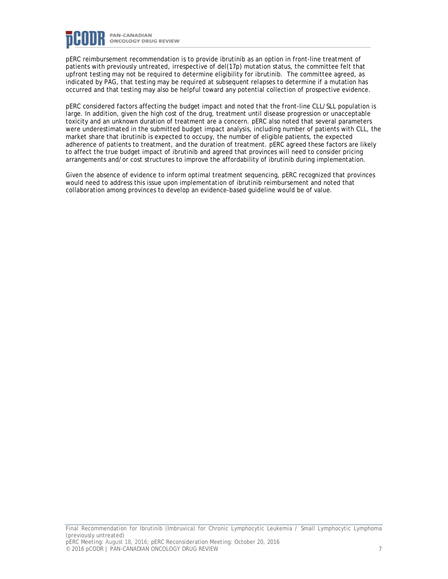

pERC reimbursement recommendation is to provide ibrutinib as an option in front-line treatment of patients with previously untreated, irrespective of del(17p) mutation status, the committee felt that upfront testing may not be required to determine eligibility for ibrutinib. The committee agreed, as indicated by PAG, that testing may be required at subsequent relapses to determine if a mutation has occurred and that testing may also be helpful toward any potential collection of prospective evidence.

pERC considered factors affecting the budget impact and noted that the front-line CLL/SLL population is large. In addition, given the high cost of the drug, treatment until disease progression or unacceptable toxicity and an unknown duration of treatment are a concern. pERC also noted that several parameters were underestimated in the submitted budget impact analysis, including number of patients with CLL, the market share that ibrutinib is expected to occupy, the number of eligible patients, the expected adherence of patients to treatment, and the duration of treatment. pERC agreed these factors are likely to affect the true budget impact of ibrutinib and agreed that provinces will need to consider pricing arrangements and/or cost structures to improve the affordability of ibrutinib during implementation.

Given the absence of evidence to inform optimal treatment sequencing, pERC recognized that provinces would need to address this issue upon implementation of ibrutinib reimbursement and noted that collaboration among provinces to develop an evidence-based guideline would be of value.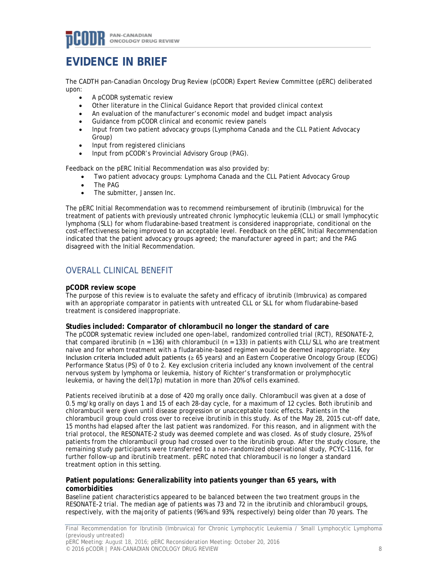## **EVIDENCE IN BRIEF**

The CADTH pan-Canadian Oncology Drug Review (pCODR) Expert Review Committee (pERC) deliberated upon:

- A pCODR systematic review
- Other literature in the Clinical Guidance Report that provided clinical context
- An evaluation of the manufacturer's economic model and budget impact analysis
- Guidance from pCODR clinical and economic review panels
- Input from two patient advocacy groups (Lymphoma Canada and the CLL Patient Advocacy Group)
- Input from registered clinicians
- Input from pCODR's Provincial Advisory Group (PAG).

Feedback on the pERC Initial Recommendation was also provided by:

- Two patient advocacy groups: Lymphoma Canada and the CLL Patient Advocacy Group
- The PAG
- The submitter, Janssen Inc.

The pERC Initial Recommendation was to recommend reimbursement of ibrutinib (Imbruvica) for the treatment of patients with previously untreated chronic lymphocytic leukemia (CLL) or small lymphocytic lymphoma (SLL) for whom fludarabine-based treatment is considered inappropriate, conditional on the cost-effectiveness being improved to an acceptable level. Feedback on the pERC Initial Recommendation indicated that the patient advocacy groups agreed; the manufacturer agreed in part; and the PAG disagreed with the Initial Recommendation.

## OVERALL CLINICAL BENEFIT

#### **pCODR review scope**

The purpose of this review is to evaluate the safety and efficacy of ibrutinib (Imbruvica) as compared with an appropriate comparator in patients with untreated CLL or SLL for whom fludarabine-based treatment is considered inappropriate.

### **Studies included: Comparator of chlorambucil no longer the standard of care**

The pCODR systematic review included one open-label, randomized controlled trial (RCT), RESONATE-2, that compared ibrutinib ( $n = 136$ ) with chlorambucil ( $n = 133$ ) in patients with CLL/SLL who are treatment naive and for whom treatment with a fludarabine-based regimen would be deemed inappropriate. Key inclusion criteria included adult patients (≥ 65 years) and an Eastern Cooperative Oncology Group (ECOG) Performance Status (PS) of 0 to 2. Key exclusion criteria included any known involvement of the central nervous system by lymphoma or leukemia, history of Richter's transformation or prolymphocytic leukemia, or having the del(17p) mutation in more than 20% of cells examined.

Patients received ibrutinib at a dose of 420 mg orally once daily. Chlorambucil was given at a dose of 0.5 mg/kg orally on days 1 and 15 of each 28-day cycle, for a maximum of 12 cycles. Both ibrutinib and chlorambucil were given until disease progression or unacceptable toxic effects. Patients in the chlorambucil group could cross over to receive ibrutinib in this study. As of the May 28, 2015 cut-off date, 15 months had elapsed after the last patient was randomized. For this reason, and in alignment with the trial protocol, the RESONATE-2 study was deemed complete and was closed. As of study closure, 25% of patients from the chlorambucil group had crossed over to the ibrutinib group. After the study closure, the remaining study participants were transferred to a non-randomized observational study, PCYC-1116, for further follow-up and ibrutinib treatment. pERC noted that chlorambucil is no longer a standard treatment option in this setting.

#### **Patient populations: Generalizability into patients younger than 65 years, with comorbidities**

Baseline patient characteristics appeared to be balanced between the two treatment groups in the RESONATE-2 trial. The median age of patients was 73 and 72 in the ibrutinib and chlorambucil groups, respectively, with the majority of patients (96% and 93%, respectively) being older than 70 years. The

Final Recommendation for Ibrutinib (Imbruvica) for Chronic Lymphocytic Leukemia / Small Lymphocytic Lymphoma (previously untreated)

pERC Meeting: August 18, 2016; pERC Reconsideration Meeting: October 20, 2016 © 2016 pCODR | PAN-CANADIAN ONCOLOGY DRUG REVIEW 8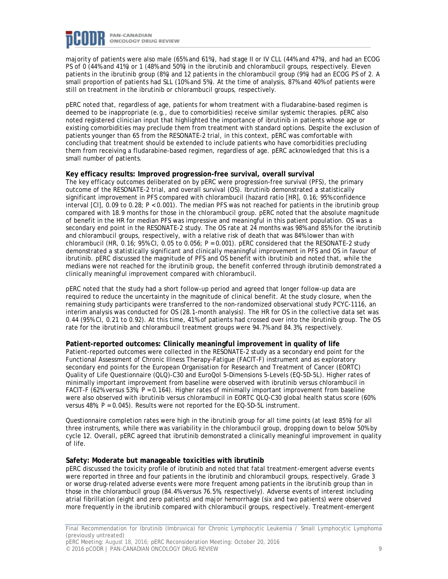

majority of patients were also male (65% and 61%), had stage II or IV CLL (44% and 47%), and had an ECOG PS of 0 (44% and 41%) or 1 (48% and 50%) in the ibrutinib and chlorambucil groups, respectively. Eleven patients in the ibrutinib group (8%) and 12 patients in the chlorambucil group (9%) had an ECOG PS of 2. A small proportion of patients had SLL (10% and 5%). At the time of analysis, 87% and 40% of patients were still on treatment in the ibrutinib or chlorambucil groups, respectively.

pERC noted that, regardless of age, patients for whom treatment with a fludarabine-based regimen is deemed to be inappropriate (e.g., due to comorbidities) receive similar systemic therapies. pERC also noted registered clinician input that highlighted the importance of ibrutinib in patients whose age or existing comorbidities may preclude them from treatment with standard options. Despite the exclusion of patients younger than 65 from the RESONATE-2 trial, in this context, pERC was comfortable with concluding that treatment should be extended to include patients who have comorbidities precluding them from receiving a fludarabine-based regimen, regardless of age. pERC acknowledged that this is a small number of patients.

#### **Key efficacy results: Improved progression-free survival, overall survival**

The key efficacy outcomes deliberated on by pERC were progression-free survival (PFS), the primary outcome of the RESONATE-2 trial, and overall survival (OS). Ibrutinib demonstrated a statistically significant improvement in PFS compared with chlorambucil (hazard ratio [HR], 0.16; 95% confidence interval [CI], 0.09 to 0.28; *P* < 0.001). The median PFS was not reached for patients in the ibrutinib group compared with 18.9 months for those in the chlorambucil group. pERC noted that the absolute magnitude of benefit in the HR for median PFS was impressive and meaningful in this patient population. OS was a secondary end point in the RESONATE-2 study. The OS rate at 24 months was 98% and 85% for the ibrutinib and chlorambucil groups, respectively, with a relative risk of death that was 84% lower than with chlorambucil (HR, 0.16; 95% CI, 0.05 to 0.056; *P* = 0.001). pERC considered that the RESONATE-2 study demonstrated a statistically significant and clinically meaningful improvement in PFS and OS in favour of ibrutinib. pERC discussed the magnitude of PFS and OS benefit with ibrutinib and noted that, while the medians were not reached for the ibrutinib group, the benefit conferred through ibrutinib demonstrated a clinically meaningful improvement compared with chlorambucil.

pERC noted that the study had a short follow-up period and agreed that longer follow-up data are required to reduce the uncertainty in the magnitude of clinical benefit. At the study closure, when the remaining study participants were transferred to the non-randomized observational study PCYC-1116, an interim analysis was conducted for OS (28.1-month analysis). The HR for OS in the collective data set was 0.44 (95% CI, 0.21 to 0.92). At this time, 41% of patients had crossed over into the ibrutinib group. The OS rate for the ibrutinib and chlorambucil treatment groups were 94.7% and 84.3%, respectively.

#### **Patient-reported outcomes: Clinically meaningful improvement in quality of life**

Patient-reported outcomes were collected in the RESONATE-2 study as a secondary end point for the Functional Assessment of Chronic Illness Therapy–Fatigue (FACIT-F) instrument and as exploratory secondary end points for the European Organisation for Research and Treatment of Cancer (EORTC) Quality of Life Questionnaire (QLQ)-C30 and EuroQol 5-Dimensions 5-Levels (EQ-5D-5L). Higher rates of minimally important improvement from baseline were observed with ibrutinib versus chlorambucil in FACIT-F (62% versus 53%;  $P = 0.164$ ). Higher rates of minimally important improvement from baseline were also observed with ibrutinib versus chlorambucil in EORTC QLQ-C30 global health status score (60% versus  $48\%$ ;  $P = 0.045$ ). Results were not reported for the EQ-5D-5L instrument.

Questionnaire completion rates were high in the ibrutinib group for all time points (at least 85%) for all three instruments, while there was variability in the chlorambucil group, dropping down to below 50% by cycle 12. Overall, pERC agreed that ibrutinib demonstrated a clinically meaningful improvement in quality of life.

#### **Safety: Moderate but manageable toxicities with ibrutinib**

pERC discussed the toxicity profile of ibrutinib and noted that fatal treatment-emergent adverse events were reported in three and four patients in the ibrutinib and chlorambucil groups, respectively. Grade 3 or worse drug-related adverse events were more frequent among patients in the ibrutinib group than in those in the chlorambucil group (84.4% versus 76.5%, respectively). Adverse events of interest including atrial fibrillation (eight and zero patients) and major hemorrhage (six and two patients) were observed more frequently in the ibrutinib compared with chlorambucil groups, respectively. Treatment-emergent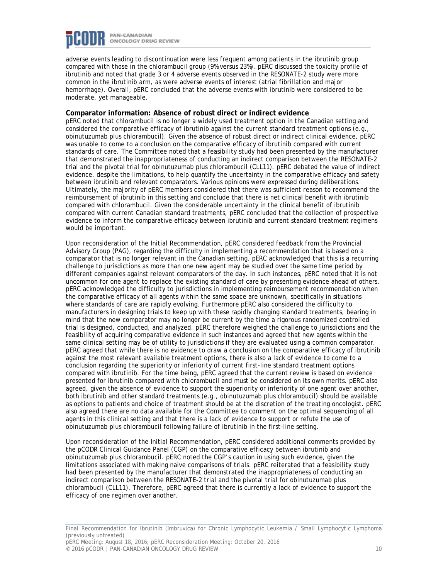

adverse events leading to discontinuation were less frequent among patients in the ibrutinib group compared with those in the chlorambucil group (9% versus 23%). pERC discussed the toxicity profile of ibrutinib and noted that grade 3 or 4 adverse events observed in the RESONATE-2 study were more common in the ibrutinib arm, as were adverse events of interest (atrial fibrillation and major hemorrhage). Overall, pERC concluded that the adverse events with ibrutinib were considered to be moderate, yet manageable.

#### **Comparator information: Absence of robust direct or indirect evidence**

pERC noted that chlorambucil is no longer a widely used treatment option in the Canadian setting and considered the comparative efficacy of ibrutinib against the current standard treatment options (e.g., obinutuzumab plus chlorambucil). Given the absence of robust direct or indirect clinical evidence, pERC was unable to come to a conclusion on the comparative efficacy of ibrutinib compared with current standards of care. The Committee noted that a feasibility study had been presented by the manufacturer that demonstrated the inappropriateness of conducting an indirect comparison between the RESONATE-2 trial and the pivotal trial for obinutuzumab plus chlorambucil (CLL11). pERC debated the value of indirect evidence, despite the limitations, to help quantify the uncertainty in the comparative efficacy and safety between ibrutinib and relevant comparators. Various opinions were expressed during deliberations. Ultimately, the majority of pERC members considered that there was sufficient reason to recommend the reimbursement of ibrutinib in this setting and conclude that there is net clinical benefit with ibrutinib compared with chlorambucil. Given the considerable uncertainty in the clinical benefit of ibrutinib compared with current Canadian standard treatments, pERC concluded that the collection of prospective evidence to inform the comparative efficacy between ibrutinib and current standard treatment regimens would be important.

Upon reconsideration of the Initial Recommendation, pERC considered feedback from the Provincial Advisory Group (PAG), regarding the difficulty in implementing a recommendation that is based on a comparator that is no longer relevant in the Canadian setting. pERC acknowledged that this is a recurring challenge to jurisdictions as more than one new agent may be studied over the same time period by different companies against relevant comparators of the day. In such instances, pERC noted that it is not uncommon for one agent to replace the existing standard of care by presenting evidence ahead of others. pERC acknowledged the difficulty to jurisdictions in implementing reimbursement recommendation when the comparative efficacy of all agents within the same space are unknown, specifically in situations where standards of care are rapidly evolving. Furthermore pERC also considered the difficulty to manufacturers in designing trials to keep up with these rapidly changing standard treatments, bearing in mind that the new comparator may no longer be current by the time a rigorous randomized controlled trial is designed, conducted, and analyzed. pERC therefore weighed the challenge to jurisdictions and the feasibility of acquiring comparative evidence in such instances and agreed that new agents within the same clinical setting may be of utility to jurisdictions if they are evaluated using a common comparator. pERC agreed that while there is no evidence to draw a conclusion on the comparative efficacy of ibrutinib against the most relevant available treatment options, there is also a lack of evidence to come to a conclusion regarding the superiority or inferiority of current first-line standard treatment options compared with ibrutinib. For the time being, pERC agreed that the current review is based on evidence presented for ibrutinib compared with chlorambucil and must be considered on its own merits. pERC also agreed, given the absence of evidence to support the superiority or inferiority of one agent over another, both ibrutinib and other standard treatments (e.g., obinutuzumab plus chlorambucil) should be available as options to patients and choice of treatment should be at the discretion of the treating oncologist. pERC also agreed there are no data available for the Committee to comment on the optimal sequencing of all agents in this clinical setting and that there is a lack of evidence to support or refute the use of obinutuzumab plus chlorambucil following failure of ibrutinib in the first-line setting.

Upon reconsideration of the Initial Recommendation, pERC considered additional comments provided by the pCODR Clinical Guidance Panel (CGP) on the comparative efficacy between ibrutinib and obinutuzumab plus chlorambucil. pERC noted the CGP's caution in using such evidence, given the limitations associated with making naive comparisons of trials. pERC reiterated that a feasibility study had been presented by the manufacturer that demonstrated the inappropriateness of conducting an indirect comparison between the RESONATE-2 trial and the pivotal trial for obinutuzumab plus chlorambucil (CLL11). Therefore, pERC agreed that there is currently a lack of evidence to support the efficacy of one regimen over another.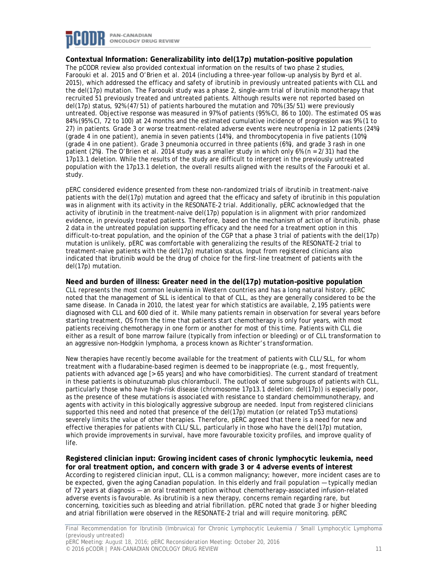

### **Contextual Information: Generalizability into del(17p) mutation–positive population**

The pCODR review also provided contextual information on the results of two phase 2 studies, Faroouki et al. 2015 and O'Brien et al. 2014 (including a three-year follow-up analysis by Byrd et al. 2015), which addressed the efficacy and safety of ibrutinib in previously untreated patients with CLL and the del(17p) mutation. The Faroouki study was a phase 2, single-arm trial of ibrutinib monotherapy that recruited 51 previously treated and untreated patients. Although results were not reported based on del(17p) status, 92% (47/51) of patients harboured the mutation and 70% (35/51) were previously untreated. Objective response was measured in 97% of patients (95% CI, 86 to 100). The estimated OS was 84% (95% CI, 72 to 100) at 24 months and the estimated cumulative incidence of progression was 9% (1 to 27) in patients. Grade 3 or worse treatment-related adverse events were neutropenia in 12 patients (24%) (grade 4 in one patient), anemia in seven patients (14%), and thrombocytopenia in five patients (10%) (grade 4 in one patient). Grade 3 pneumonia occurred in three patients (6%), and grade 3 rash in one patient (2%). The O'Brien et al. 2014 study was a smaller study in which only 6% (n = 2/31) had the 17p13.1 deletion. While the results of the study are difficult to interpret in the previously untreated population with the 17p13.1 deletion, the overall results aligned with the results of the Faroouki et al. study.

pERC considered evidence presented from these non-randomized trials of ibrutinib in treatment-naive patients with the del(17p) mutation and agreed that the efficacy and safety of ibrutinib in this population was in alignment with its activity in the RESONATE-2 trial. Additionally, pERC acknowledged that the activity of ibrutinib in the treatment-naive del(17p) population is in alignment with prior randomized evidence, in previously treated patients. Therefore, based on the mechanism of action of ibrutinib, phase 2 data in the untreated population supporting efficacy and the need for a treatment option in this difficult-to-treat population, and the opinion of the CGP that a phase 3 trial of patients with the del(17p) mutation is unlikely, pERC was comfortable with generalizing the results of the RESONATE-2 trial to treatment-naive patients with the del(17p) mutation status. Input from registered clinicians also indicated that ibrutinib would be the drug of choice for the first-line treatment of patients with the del(17p) mutation.

#### **Need and burden of illness: Greater need in the del(17p) mutation–positive population**

CLL represents the most common leukemia in Western countries and has a long natural history. pERC noted that the management of SLL is identical to that of CLL, as they are generally considered to be the same disease. In Canada in 2010, the latest year for which statistics are available, 2,195 patients were diagnosed with CLL and 600 died of it. While many patients remain in observation for several years before starting treatment, OS from the time that patients start chemotherapy is only four years, with most patients receiving chemotherapy in one form or another for most of this time. Patients with CLL die either as a result of bone marrow failure (typically from infection or bleeding) or of CLL transformation to an aggressive non-Hodgkin lymphoma, a process known as Richter's transformation.

New therapies have recently become available for the treatment of patients with CLL/SLL, for whom treatment with a fludarabine-based regimen is deemed to be inappropriate (e.g., most frequently, patients with advanced age [> 65 years] and who have comorbidities). The current standard of treatment in these patients is obinutuzumab plus chlorambucil. The outlook of some subgroups of patients with CLL, particularly those who have high-risk disease (chromosome 17p13.1 deletion: del(17p)) is especially poor, as the presence of these mutations is associated with resistance to standard chemoimmunotherapy, and agents with activity in this biologically aggressive subgroup are needed. Input from registered clinicians supported this need and noted that presence of the del(17p) mutation (or related Tp53 mutations) severely limits the value of other therapies. Therefore, pERC agreed that there is a need for new and effective therapies for patients with CLL/SLL, particularly in those who have the del(17p) mutation, which provide improvements in survival, have more favourable toxicity profiles, and improve quality of life.

**Registered clinician input: Growing incident cases of chronic lymphocytic leukemia, need for oral treatment option, and concern with grade 3 or 4 adverse events of interest** According to registered clinician input, CLL is a common malignancy; however, more incident cases are to be expected, given the aging Canadian population. In this elderly and frail population — typically median of 72 years at diagnosis — an oral treatment option without chemotherapy-associated infusion-related adverse events is favourable. As ibrutinib is a new therapy, concerns remain regarding rare, but concerning, toxicities such as bleeding and atrial fibrillation. pERC noted that grade 3 or higher bleeding and atrial fibrillation were observed in the RESONATE-2 trial and will require monitoring. pERC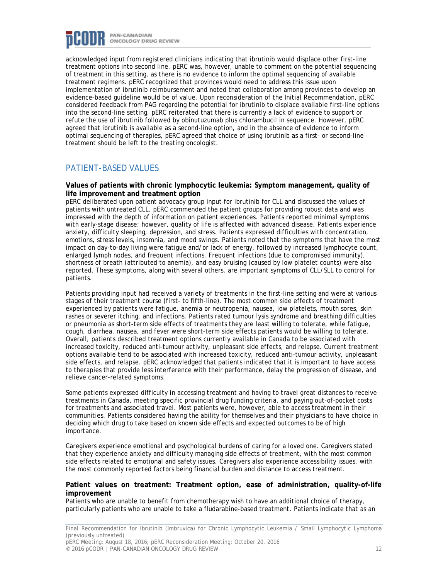

acknowledged input from registered clinicians indicating that ibrutinib would displace other first-line treatment options into second line. pERC was, however, unable to comment on the potential sequencing of treatment in this setting, as there is no evidence to inform the optimal sequencing of available treatment regimens. pERC recognized that provinces would need to address this issue upon implementation of ibrutinib reimbursement and noted that collaboration among provinces to develop an evidence-based guideline would be of value. Upon reconsideration of the Initial Recommendation, pERC considered feedback from PAG regarding the potential for ibrutinib to displace available first-line options into the second-line setting. pERC reiterated that there is currently a lack of evidence to support or refute the use of ibrutinib followed by obinutuzumab plus chlorambucil in sequence. However, pERC agreed that ibrutinib is available as a second-line option, and in the absence of evidence to inform optimal sequencing of therapies, pERC agreed that choice of using ibrutinib as a first- or second-line treatment should be left to the treating oncologist.

### PATIENT-BASED VALUES

#### **Values of patients with chronic lymphocytic leukemia: Symptom management, quality of life improvement and treatment option**

pERC deliberated upon patient advocacy group input for ibrutinib for CLL and discussed the values of patients with untreated CLL. pERC commended the patient groups for providing robust data and was impressed with the depth of information on patient experiences. Patients reported minimal symptoms with early-stage disease; however, quality of life is affected with advanced disease. Patients experience anxiety, difficulty sleeping, depression, and stress. Patients expressed difficulties with concentration, emotions, stress levels, insomnia, and mood swings. Patients noted that the symptoms that have the most impact on day-to-day living were fatigue and/or lack of energy, followed by increased lymphocyte count, enlarged lymph nodes, and frequent infections. Frequent infections (due to compromised immunity), shortness of breath (attributed to anemia), and easy bruising (caused by low platelet counts) were also reported. These symptoms, along with several others, are important symptoms of CLL/SLL to control for patients.

Patients providing input had received a variety of treatments in the first-line setting and were at various stages of their treatment course (first- to fifth-line). The most common side effects of treatment experienced by patients were fatigue, anemia or neutropenia, nausea, low platelets, mouth sores, skin rashes or severer itching, and infections. Patients rated tumour lysis syndrome and breathing difficulties or pneumonia as short-term side effects of treatments they are least willing to tolerate, while fatigue, cough, diarrhea, nausea, and fever were short-term side effects patients would be willing to tolerate. Overall, patients described treatment options currently available in Canada to be associated with increased toxicity, reduced anti-tumour activity, unpleasant side effects, and relapse. Current treatment options available tend to be associated with increased toxicity, reduced anti-tumour activity, unpleasant side effects, and relapse. pERC acknowledged that patients indicated that it is important to have access to therapies that provide less interference with their performance, delay the progression of disease, and relieve cancer-related symptoms.

Some patients expressed difficulty in accessing treatment and having to travel great distances to receive treatments in Canada, meeting specific provincial drug funding criteria, and paying out-of-pocket costs for treatments and associated travel. Most patients were, however, able to access treatment in their communities. Patients considered having the ability for themselves and their physicians to have choice in deciding which drug to take based on known side effects and expected outcomes to be of high importance.

Caregivers experience emotional and psychological burdens of caring for a loved one. Caregivers stated that they experience anxiety and difficulty managing side effects of treatment, with the most common side effects related to emotional and safety issues. Caregivers also experience accessibility issues, with the most commonly reported factors being financial burden and distance to access treatment.

#### **Patient values on treatment: Treatment option, ease of administration, quality-of-life improvement**

Patients who are unable to benefit from chemotherapy wish to have an additional choice of therapy, particularly patients who are unable to take a fludarabine-based treatment. Patients indicate that as an

Final Recommendation for Ibrutinib (Imbruvica) for Chronic Lymphocytic Leukemia / Small Lymphocytic Lymphoma (previously untreated)

pERC Meeting: August 18, 2016; pERC Reconsideration Meeting: October 20, 2016 © 2016 pCODR | PAN-CANADIAN ONCOLOGY DRUG REVIEW 12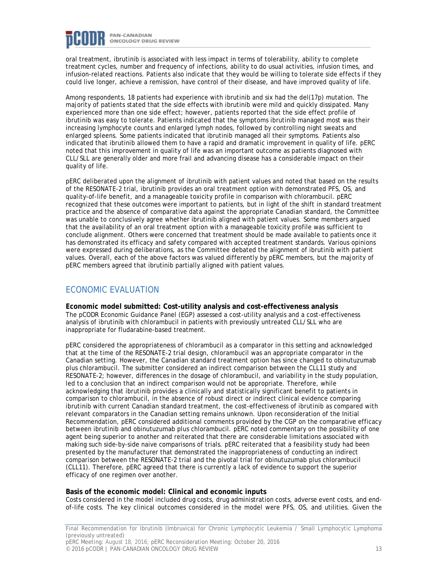

oral treatment, ibrutinib is associated with less impact in terms of tolerability, ability to complete treatment cycles, number and frequency of infections, ability to do usual activities, infusion times, and infusion-related reactions. Patients also indicate that they would be willing to tolerate side effects if they could live longer, achieve a remission, have control of their disease, and have improved quality of life.

Among respondents, 18 patients had experience with ibrutinib and six had the del(17p) mutation. The majority of patients stated that the side effects with ibrutinib were mild and quickly dissipated. Many experienced more than one side effect; however, patients reported that the side effect profile of ibrutinib was easy to tolerate. Patients indicated that the symptoms ibrutinib managed most was their increasing lymphocyte counts and enlarged lymph nodes, followed by controlling night sweats and enlarged spleens. Some patients indicated that ibrutinib managed all their symptoms. Patients also indicated that ibrutinib allowed them to have a rapid and dramatic improvement in quality of life. pERC noted that this improvement in quality of life was an important outcome as patients diagnosed with CLL/SLL are generally older and more frail and advancing disease has a considerable impact on their quality of life.

pERC deliberated upon the alignment of ibrutinib with patient values and noted that based on the results of the RESONATE-2 trial, ibrutinib provides an oral treatment option with demonstrated PFS, OS, and quality-of-life benefit, and a manageable toxicity profile in comparison with chlorambucil. pERC recognized that these outcomes were important to patients, but in light of the shift in standard treatment practice and the absence of comparative data against the appropriate Canadian standard, the Committee was unable to conclusively agree whether ibrutinib aligned with patient values. Some members argued that the availability of an oral treatment option with a manageable toxicity profile was sufficient to conclude alignment. Others were concerned that treatment should be made available to patients once it has demonstrated its efficacy and safety compared with accepted treatment standards. Various opinions were expressed during deliberations, as the Committee debated the alignment of ibrutinib with patient values. Overall, each of the above factors was valued differently by pERC members, but the majority of pERC members agreed that ibrutinib partially aligned with patient values.

### ECONOMIC EVALUATION

**Economic model submitted: Cost-utility analysis and cost-effectiveness analysis**

The pCODR Economic Guidance Panel (EGP) assessed a cost-utility analysis and a cost-effectiveness analysis of ibrutinib with chlorambucil in patients with previously untreated CLL/SLL who are inappropriate for fludarabine-based treatment.

pERC considered the appropriateness of chlorambucil as a comparator in this setting and acknowledged that at the time of the RESONATE-2 trial design, chlorambucil was an appropriate comparator in the Canadian setting. However, the Canadian standard treatment option has since changed to obinutuzumab plus chlorambucil. The submitter considered an indirect comparison between the CLL11 study and RESONATE-2; however, differences in the dosage of chlorambucil, and variability in the study population, led to a conclusion that an indirect comparison would not be appropriate. Therefore, while acknowledging that ibrutinib provides a clinically and statistically significant benefit to patients in comparison to chlorambucil, in the absence of robust direct or indirect clinical evidence comparing ibrutinib with current Canadian standard treatment, the cost-effectiveness of ibrutinib as compared with relevant comparators in the Canadian setting remains unknown. Upon reconsideration of the Initial Recommendation, pERC considered additional comments provided by the CGP on the comparative efficacy between ibrutinib and obinutuzumab plus chlorambucil. pERC noted commentary on the possibility of one agent being superior to another and reiterated that there are considerable limitations associated with making such side-by-side naive comparisons of trials. pERC reiterated that a feasibility study had been presented by the manufacturer that demonstrated the inappropriateness of conducting an indirect comparison between the RESONATE-2 trial and the pivotal trial for obinutuzumab plus chlorambucil (CLL11). Therefore, pERC agreed that there is currently a lack of evidence to support the superior efficacy of one regimen over another.

#### **Basis of the economic model: Clinical and economic inputs**

Costs considered in the model included drug costs, drug administration costs, adverse event costs, and endof-life costs. The key clinical outcomes considered in the model were PFS, OS, and utilities. Given the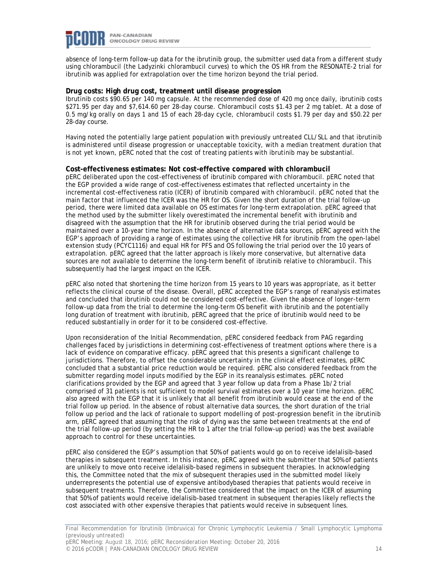

absence of long-term follow-up data for the ibrutinib group, the submitter used data from a different study using chlorambucil (the Ladyzinki chlorambucil curves) to which the OS HR from the RESONATE-2 trial for ibrutinib was applied for extrapolation over the time horizon beyond the trial period.

#### **Drug costs: High drug cost, treatment until disease progression**

Ibrutinib costs \$90.65 per 140 mg capsule. At the recommended dose of 420 mg once daily, ibrutinib costs \$271.95 per day and \$7,614.60 per 28-day course. Chlorambucil costs \$1.43 per 2 mg tablet. At a dose of 0.5 mg/kg orally on days 1 and 15 of each 28-day cycle, chlorambucil costs \$1.79 per day and \$50.22 per 28-day course.

Having noted the potentially large patient population with previously untreated CLL/SLL and that ibrutinib is administered until disease progression or unacceptable toxicity, with a median treatment duration that is not yet known, pERC noted that the cost of treating patients with ibrutinib may be substantial.

#### **Cost-effectiveness estimates: Not cost-effective compared with chlorambucil**

pERC deliberated upon the cost-effectiveness of ibrutinib compared with chlorambucil. pERC noted that the EGP provided a wide range of cost-effectiveness estimates that reflected uncertainty in the incremental cost-effectiveness ratio (ICER) of ibrutinib compared with chlorambucil. pERC noted that the main factor that influenced the ICER was the HR for OS. Given the short duration of the trial follow-up period, there were limited data available on OS estimates for long-term extrapolation. pERC agreed that the method used by the submitter likely overestimated the incremental benefit with ibrutinib and disagreed with the assumption that the HR for ibrutinib observed during the trial period would be maintained over a 10-year time horizon. In the absence of alternative data sources, pERC agreed with the EGP's approach of providing a range of estimates using the collective HR for ibrutinib from the open-label extension study (PCYC1116) and equal HR for PFS and OS following the trial period over the 10 years of extrapolation. pERC agreed that the latter approach is likely more conservative, but alternative data sources are not available to determine the long-term benefit of ibrutinib relative to chlorambucil. This subsequently had the largest impact on the ICER.

pERC also noted that shortening the time horizon from 15 years to 10 years was appropriate, as it better reflects the clinical course of the disease. Overall, pERC accepted the EGP's range of reanalysis estimates and concluded that ibrutinib could not be considered cost-effective. Given the absence of longer-term follow-up data from the trial to determine the long-term OS benefit with ibrutinib and the potentially long duration of treatment with ibrutinib, pERC agreed that the price of ibrutinib would need to be reduced substantially in order for it to be considered cost-effective.

Upon reconsideration of the Initial Recommendation, pERC considered feedback from PAG regarding challenges faced by jurisdictions in determining cost-effectiveness of treatment options where there is a lack of evidence on comparative efficacy. pERC agreed that this presents a significant challenge to jurisdictions. Therefore, to offset the considerable uncertainty in the clinical effect estimates, pERC concluded that a substantial price reduction would be required. pERC also considered feedback from the submitter regarding model inputs modified by the EGP in its reanalysis estimates. pERC noted clarifications provided by the EGP and agreed that 3 year follow up data from a Phase 1b/2 trial comprised of 31 patients is not sufficient to model survival estimates over a 10 year time horizon. pERC also agreed with the EGP that it is unlikely that all benefit from ibrutinib would cease at the end of the trial follow up period. In the absence of robust alternative data sources, the short duration of the trial follow up period and the lack of rationale to support modelling of post-progression benefit in the ibrutinib arm, pERC agreed that assuming that the risk of dying was the same between treatments at the end of the trial follow-up period (by setting the HR to 1 after the trial follow-up period) was the best available approach to control for these uncertainties.

pERC also considered the EGP's assumption that 50% of patients would go on to receive idelalisib-based therapies in subsequent treatment. In this instance, pERC agreed with the submitter that 50% of patients are unlikely to move onto receive idelalisib-based regimens in subsequent therapies. In acknowledging this, the Committee noted that the mix of subsequent therapies used in the submitted model likely underrepresents the potential use of expensive antibodybased therapies that patients would receive in subsequent treatments. Therefore, the Committee considered that the impact on the ICER of assuming that 50% of patients would receive idelalisib-based treatment in subsequent therapies likely reflects the cost associated with other expensive therapies that patients would receive in subsequent lines.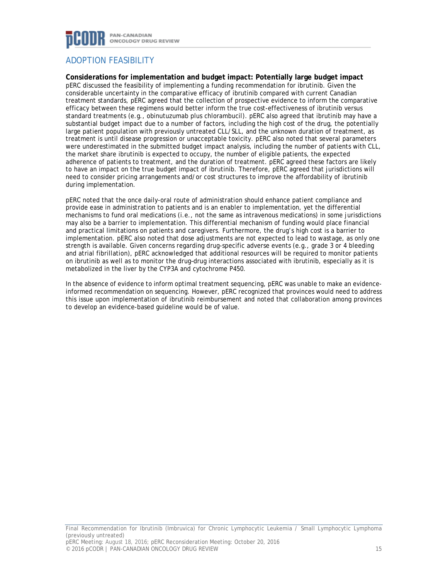

## ADOPTION FEASIBILITY

**Considerations for implementation and budget impact: Potentially large budget impact**

pERC discussed the feasibility of implementing a funding recommendation for ibrutinib. Given the considerable uncertainty in the comparative efficacy of ibrutinib compared with current Canadian treatment standards, pERC agreed that the collection of prospective evidence to inform the comparative efficacy between these regimens would better inform the true cost-effectiveness of ibrutinib versus standard treatments (e.g., obinutuzumab plus chlorambucil). pERC also agreed that ibrutinib may have a substantial budget impact due to a number of factors, including the high cost of the drug, the potentially large patient population with previously untreated CLL/SLL, and the unknown duration of treatment, as treatment is until disease progression or unacceptable toxicity. pERC also noted that several parameters were underestimated in the submitted budget impact analysis, including the number of patients with CLL, the market share ibrutinib is expected to occupy, the number of eligible patients, the expected adherence of patients to treatment, and the duration of treatment. pERC agreed these factors are likely to have an impact on the true budget impact of ibrutinib. Therefore, pERC agreed that jurisdictions will need to consider pricing arrangements and/or cost structures to improve the affordability of ibrutinib during implementation.

pERC noted that the once daily-oral route of administration should enhance patient compliance and provide ease in administration to patients and is an enabler to implementation, yet the differential mechanisms to fund oral medications (i.e., not the same as intravenous medications) in some jurisdictions may also be a barrier to implementation. This differential mechanism of funding would place financial and practical limitations on patients and caregivers. Furthermore, the drug's high cost is a barrier to implementation. pERC also noted that dose adjustments are not expected to lead to wastage, as only one strength is available. Given concerns regarding drug-specific adverse events (e.g., grade 3 or 4 bleeding and atrial fibrillation), pERC acknowledged that additional resources will be required to monitor patients on ibrutinib as well as to monitor the drug–drug interactions associated with ibrutinib, especially as it is metabolized in the liver by the CYP3A and cytochrome P450.

In the absence of evidence to inform optimal treatment sequencing, pERC was unable to make an evidenceinformed recommendation on sequencing. However, pERC recognized that provinces would need to address this issue upon implementation of ibrutinib reimbursement and noted that collaboration among provinces to develop an evidence-based guideline would be of value.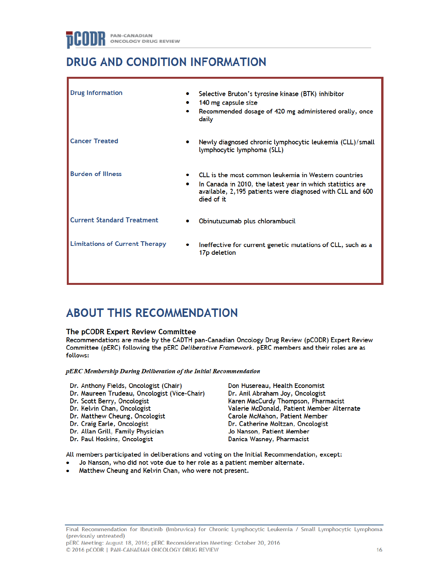## **DRUG AND CONDITION INFORMATION**

| <b>Drug Information</b>               |   | Selective Bruton's tyrosine kinase (BTK) inhibitor<br>140 mg capsule size<br>Recommended dosage of 420 mg administered orally, once<br>daily                                                  |
|---------------------------------------|---|-----------------------------------------------------------------------------------------------------------------------------------------------------------------------------------------------|
| <b>Cancer Treated</b>                 |   | Newly diagnosed chronic lymphocytic leukemia (CLL)/small<br>lymphocytic lymphoma (SLL)                                                                                                        |
| <b>Burden of Illness</b>              | ۰ | CLL is the most common leukemia in Western countries<br>In Canada in 2010, the latest year in which statistics are<br>available, 2,195 patients were diagnosed with CLL and 600<br>died of it |
| <b>Current Standard Treatment</b>     |   | Obinutuzumab plus chlorambucil                                                                                                                                                                |
| <b>Limitations of Current Therapy</b> |   | Ineffective for current genetic mutations of CLL, such as a<br>17p deletion                                                                                                                   |

## **ABOUT THIS RECOMMENDATION**

#### The pCODR Expert Review Committee

Recommendations are made by the CADTH pan-Canadian Oncology Drug Review (pCODR) Expert Review Committee (pERC) following the pERC Deliberative Framework, pERC members and their roles are as follows:

pERC Membership During Deliberation of the Initial Recommendation

- Dr. Anthony Fields, Oncologist (Chair)
- Dr. Maureen Trudeau, Oncologist (Vice-Chair) Dr. Scott Berry, Oncologist
- Dr. Kelvin Chan, Oncologist
- Dr. Matthew Cheung, Oncologist
- Dr. Craig Earle, Oncologist
- Dr. Allan Grill, Family Physician
- Dr. Paul Hoskins, Oncologist

Don Husereau, Health Economist Dr. Anil Abraham Joy, Oncologist Karen MacCurdy Thompson, Pharmacist Valerie McDonald, Patient Member Alternate Carole McMahon, Patient Member Dr. Catherine Moltzan, Oncologist Jo Nanson, Patient Member Danica Wasney, Pharmacist

All members participated in deliberations and voting on the Initial Recommendation, except:

- Jo Nanson, who did not vote due to her role as a patient member alternate.
- Matthew Cheung and Kelvin Chan, who were not present.